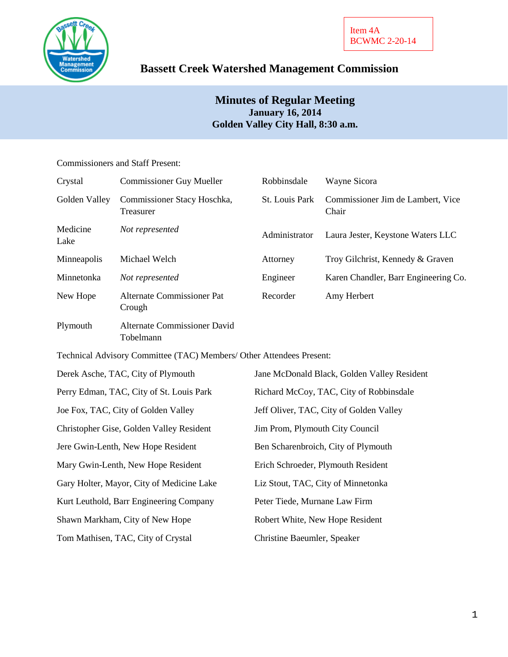

# **Bassett Creek Watershed Management Commission**

## **Minutes of Regular Meeting January 16, 2014 Golden Valley City Hall, 8:30 a.m.**

## Commissioners and Staff Present:

| Crystal          | <b>Commissioner Guy Mueller</b>                  | Robbinsdale    | Wayne Sicora                               |
|------------------|--------------------------------------------------|----------------|--------------------------------------------|
| Golden Valley    | Commissioner Stacy Hoschka,<br>Treasurer         | St. Louis Park | Commissioner Jim de Lambert, Vice<br>Chair |
| Medicine<br>Lake | Not represented                                  | Administrator  | Laura Jester, Keystone Waters LLC          |
| Minneapolis      | Michael Welch                                    | Attorney       | Troy Gilchrist, Kennedy & Graven           |
| Minnetonka       | Not represented                                  | Engineer       | Karen Chandler, Barr Engineering Co.       |
| New Hope         | Alternate Commissioner Pat<br>Crough             | Recorder       | Amy Herbert                                |
| Plymouth         | <b>Alternate Commissioner David</b><br>Tobelmann |                |                                            |

Technical Advisory Committee (TAC) Members/ Other Attendees Present:

| Derek Asche, TAC, City of Plymouth        | Jane McDonald Black, Golden Valley Resident |
|-------------------------------------------|---------------------------------------------|
| Perry Edman, TAC, City of St. Louis Park  | Richard McCoy, TAC, City of Robbinsdale     |
| Joe Fox, TAC, City of Golden Valley       | Jeff Oliver, TAC, City of Golden Valley     |
| Christopher Gise, Golden Valley Resident  | Jim Prom, Plymouth City Council             |
| Jere Gwin-Lenth, New Hope Resident        | Ben Scharenbroich, City of Plymouth         |
| Mary Gwin-Lenth, New Hope Resident        | Erich Schroeder, Plymouth Resident          |
| Gary Holter, Mayor, City of Medicine Lake | Liz Stout, TAC, City of Minnetonka          |
| Kurt Leuthold, Barr Engineering Company   | Peter Tiede, Murnane Law Firm               |
| Shawn Markham, City of New Hope           | Robert White, New Hope Resident             |
| Tom Mathisen, TAC, City of Crystal        | Christine Baeumler, Speaker                 |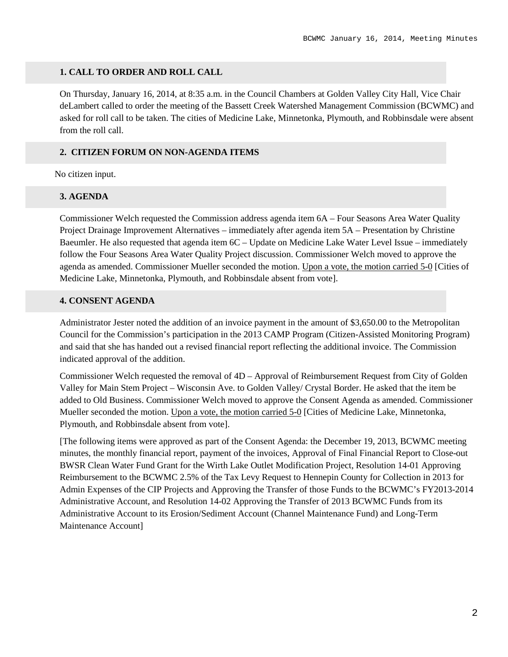#### **1. CALL TO ORDER AND ROLL CALL**

On Thursday, January 16, 2014, at 8:35 a.m. in the Council Chambers at Golden Valley City Hall, Vice Chair deLambert called to order the meeting of the Bassett Creek Watershed Management Commission (BCWMC) and asked for roll call to be taken. The cities of Medicine Lake, Minnetonka, Plymouth, and Robbinsdale were absent from the roll call.

## **2. CITIZEN FORUM ON NON-AGENDA ITEMS**

No citizen input.

## **3. AGENDA**

Commissioner Welch requested the Commission address agenda item 6A – Four Seasons Area Water Quality Project Drainage Improvement Alternatives – immediately after agenda item 5A – Presentation by Christine Baeumler. He also requested that agenda item 6C – Update on Medicine Lake Water Level Issue – immediately follow the Four Seasons Area Water Quality Project discussion. Commissioner Welch moved to approve the agenda as amended. Commissioner Mueller seconded the motion. Upon a vote, the motion carried 5-0 [Cities of Medicine Lake, Minnetonka, Plymouth, and Robbinsdale absent from vote].

## **4. CONSENT AGENDA**

Administrator Jester noted the addition of an invoice payment in the amount of \$3,650.00 to the Metropolitan Council for the Commission's participation in the 2013 CAMP Program (Citizen-Assisted Monitoring Program) and said that she has handed out a revised financial report reflecting the additional invoice. The Commission indicated approval of the addition.

Commissioner Welch requested the removal of 4D – Approval of Reimbursement Request from City of Golden Valley for Main Stem Project – Wisconsin Ave. to Golden Valley/ Crystal Border. He asked that the item be added to Old Business. Commissioner Welch moved to approve the Consent Agenda as amended. Commissioner Mueller seconded the motion. Upon a vote, the motion carried 5-0 [Cities of Medicine Lake, Minnetonka, Plymouth, and Robbinsdale absent from vote].

[The following items were approved as part of the Consent Agenda: the December 19, 2013, BCWMC meeting minutes, the monthly financial report, payment of the invoices, Approval of Final Financial Report to Close-out BWSR Clean Water Fund Grant for the Wirth Lake Outlet Modification Project, Resolution 14-01 Approving Reimbursement to the BCWMC 2.5% of the Tax Levy Request to Hennepin County for Collection in 2013 for Admin Expenses of the CIP Projects and Approving the Transfer of those Funds to the BCWMC's FY2013-2014 Administrative Account, and Resolution 14-02 Approving the Transfer of 2013 BCWMC Funds from its Administrative Account to its Erosion/Sediment Account (Channel Maintenance Fund) and Long-Term Maintenance Account]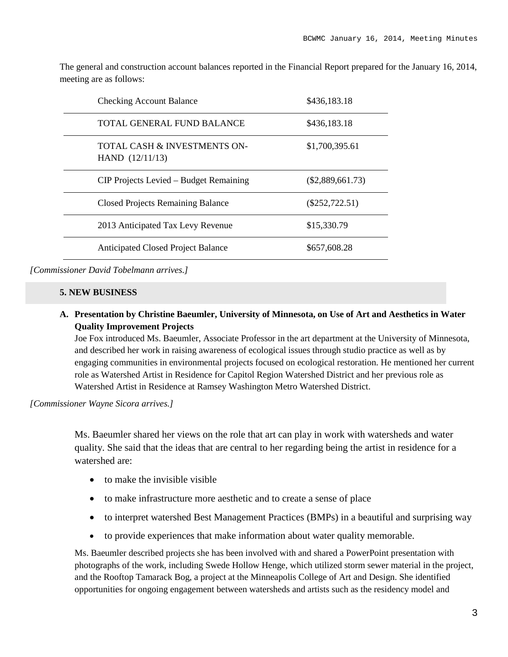The general and construction account balances reported in the Financial Report prepared for the January 16, 2014, meeting are as follows:

| <b>Checking Account Balance</b>                   | \$436,183.18       |
|---------------------------------------------------|--------------------|
| TOTAL GENERAL FUND BALANCE                        | \$436,183.18       |
| TOTAL CASH & INVESTMENTS ON-<br>HAND $(12/11/13)$ | \$1,700,395.61     |
| CIP Projects Levied – Budget Remaining            | $(\$2,889,661.73)$ |
| <b>Closed Projects Remaining Balance</b>          | $(\$252,722.51)$   |
| 2013 Anticipated Tax Levy Revenue                 | \$15,330.79        |
| <b>Anticipated Closed Project Balance</b>         | \$657,608.28       |

*[Commissioner David Tobelmann arrives.]*

#### **5. NEW BUSINESS**

**A. Presentation by Christine Baeumler, University of Minnesota, on Use of Art and Aesthetics in Water Quality Improvement Projects**

Joe Fox introduced Ms. Baeumler, Associate Professor in the art department at the University of Minnesota, and described her work in raising awareness of ecological issues through studio practice as well as by engaging communities in environmental projects focused on ecological restoration. He mentioned her current role as Watershed Artist in Residence for Capitol Region Watershed District and her previous role as Watershed Artist in Residence at Ramsey Washington Metro Watershed District.

*[Commissioner Wayne Sicora arrives.]*

Ms. Baeumler shared her views on the role that art can play in work with watersheds and water quality. She said that the ideas that are central to her regarding being the artist in residence for a watershed are:

- to make the invisible visible
- to make infrastructure more aesthetic and to create a sense of place
- to interpret watershed Best Management Practices (BMPs) in a beautiful and surprising way
- to provide experiences that make information about water quality memorable.

Ms. Baeumler described projects she has been involved with and shared a PowerPoint presentation with photographs of the work, including Swede Hollow Henge, which utilized storm sewer material in the project, and the Rooftop Tamarack Bog, a project at the Minneapolis College of Art and Design. She identified opportunities for ongoing engagement between watersheds and artists such as the residency model and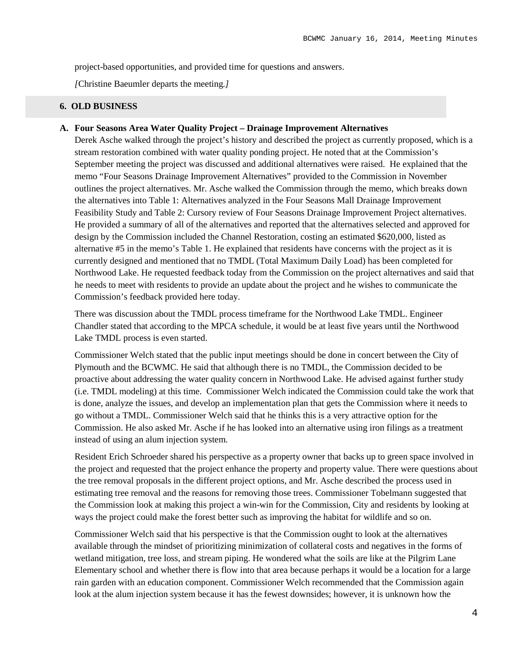project-based opportunities, and provided time for questions and answers.

*[*Christine Baeumler departs the meeting*.]*

## **6. OLD BUSINESS**

## **A. Four Seasons Area Water Quality Project – Drainage Improvement Alternatives**

Derek Asche walked through the project's history and described the project as currently proposed, which is a stream restoration combined with water quality ponding project. He noted that at the Commission's September meeting the project was discussed and additional alternatives were raised. He explained that the memo "Four Seasons Drainage Improvement Alternatives" provided to the Commission in November outlines the project alternatives. Mr. Asche walked the Commission through the memo, which breaks down the alternatives into Table 1: Alternatives analyzed in the Four Seasons Mall Drainage Improvement Feasibility Study and Table 2: Cursory review of Four Seasons Drainage Improvement Project alternatives. He provided a summary of all of the alternatives and reported that the alternatives selected and approved for design by the Commission included the Channel Restoration, costing an estimated \$620,000, listed as alternative #5 in the memo's Table 1. He explained that residents have concerns with the project as it is currently designed and mentioned that no TMDL (Total Maximum Daily Load) has been completed for Northwood Lake. He requested feedback today from the Commission on the project alternatives and said that he needs to meet with residents to provide an update about the project and he wishes to communicate the Commission's feedback provided here today.

There was discussion about the TMDL process timeframe for the Northwood Lake TMDL. Engineer Chandler stated that according to the MPCA schedule, it would be at least five years until the Northwood Lake TMDL process is even started.

Commissioner Welch stated that the public input meetings should be done in concert between the City of Plymouth and the BCWMC. He said that although there is no TMDL, the Commission decided to be proactive about addressing the water quality concern in Northwood Lake. He advised against further study (i.e. TMDL modeling) at this time. Commissioner Welch indicated the Commission could take the work that is done, analyze the issues, and develop an implementation plan that gets the Commission where it needs to go without a TMDL. Commissioner Welch said that he thinks this is a very attractive option for the Commission. He also asked Mr. Asche if he has looked into an alternative using iron filings as a treatment instead of using an alum injection system.

Resident Erich Schroeder shared his perspective as a property owner that backs up to green space involved in the project and requested that the project enhance the property and property value. There were questions about the tree removal proposals in the different project options, and Mr. Asche described the process used in estimating tree removal and the reasons for removing those trees. Commissioner Tobelmann suggested that the Commission look at making this project a win-win for the Commission, City and residents by looking at ways the project could make the forest better such as improving the habitat for wildlife and so on.

Commissioner Welch said that his perspective is that the Commission ought to look at the alternatives available through the mindset of prioritizing minimization of collateral costs and negatives in the forms of wetland mitigation, tree loss, and stream piping. He wondered what the soils are like at the Pilgrim Lane Elementary school and whether there is flow into that area because perhaps it would be a location for a large rain garden with an education component. Commissioner Welch recommended that the Commission again look at the alum injection system because it has the fewest downsides; however, it is unknown how the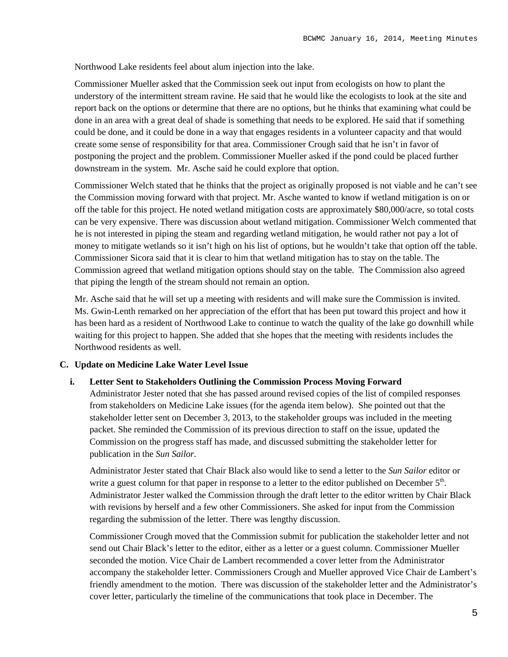Northwood Lake residents feel about alum injection into the lake.

Commissioner Mueller asked that the Commission seek out input from ecologists on how to plant the understory of the intermittent stream ravine. He said that he would like the ecologists to look at the site and report back on the options or determine that there are no options, but he thinks that examining what could be done in an area with a great deal of shade is something that needs to be explored. He said that if something could be done, and it could be done in a way that engages residents in a volunteer capacity and that would create some sense of responsibility for that area. Commissioner Crough said that he isn't in favor of postponing the project and the problem. Commissioner Mueller asked if the pond could be placed further downstream in the system. Mr. Asche said he could explore that option.

Commissioner Welch stated that he thinks that the project as originally proposed is not viable and he can't see the Commission moving forward with that project. Mr. Asche wanted to know if wetland mitigation is on or off the table for this project. He noted wetland mitigation costs are approximately \$80,000/acre, so total costs can be very expensive. There was discussion about wetland mitigation. Commissioner Welch commented that he is not interested in piping the steam and regarding wetland mitigation, he would rather not pay a lot of money to mitigate wetlands so it isn't high on his list of options, but he wouldn't take that option off the table. Commissioner Sicora said that it is clear to him that wetland mitigation has to stay on the table. The Commission agreed that wetland mitigation options should stay on the table. The Commission also agreed that piping the length of the stream should not remain an option.

Mr. Asche said that he will set up a meeting with residents and will make sure the Commission is invited. Ms. Gwin-Lenth remarked on her appreciation of the effort that has been put toward this project and how it has been hard as a resident of Northwood Lake to continue to watch the quality of the lake go downhill while waiting for this project to happen. She added that she hopes that the meeting with residents includes the Northwood residents as well.

### **C. Update on Medicine Lake Water Level Issue**

#### **i. Letter Sent to Stakeholders Outlining the Commission Process Moving Forward**

Administrator Jester noted that she has passed around revised copies of the list of compiled responses from stakeholders on Medicine Lake issues (for the agenda item below). She pointed out that the stakeholder letter sent on December 3, 2013, to the stakeholder groups was included in the meeting packet. She reminded the Commission of its previous direction to staff on the issue, updated the Commission on the progress staff has made, and discussed submitting the stakeholder letter for publication in the *Sun Sailor*.

Administrator Jester stated that Chair Black also would like to send a letter to the *Sun Sailor* editor or write a guest column for that paper in response to a letter to the editor published on December  $5<sup>th</sup>$ . Administrator Jester walked the Commission through the draft letter to the editor written by Chair Black with revisions by herself and a few other Commissioners. She asked for input from the Commission regarding the submission of the letter. There was lengthy discussion.

Commissioner Crough moved that the Commission submit for publication the stakeholder letter and not send out Chair Black's letter to the editor, either as a letter or a guest column. Commissioner Mueller seconded the motion. Vice Chair de Lambert recommended a cover letter from the Administrator accompany the stakeholder letter. Commissioners Crough and Mueller approved Vice Chair de Lambert's friendly amendment to the motion. There was discussion of the stakeholder letter and the Administrator's cover letter, particularly the timeline of the communications that took place in December. The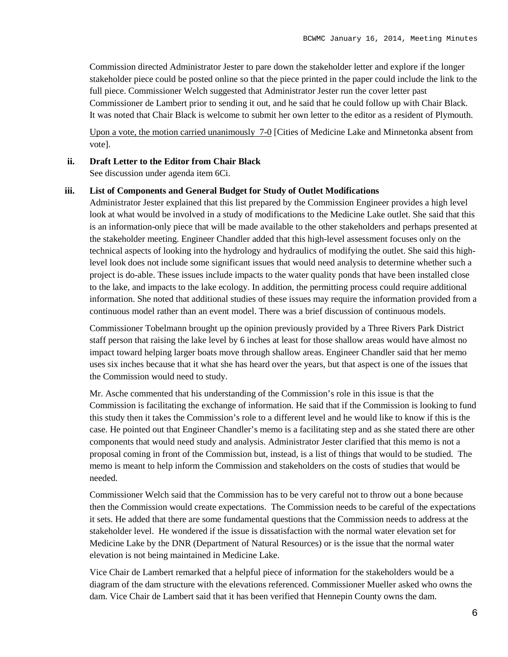Commission directed Administrator Jester to pare down the stakeholder letter and explore if the longer stakeholder piece could be posted online so that the piece printed in the paper could include the link to the full piece. Commissioner Welch suggested that Administrator Jester run the cover letter past Commissioner de Lambert prior to sending it out, and he said that he could follow up with Chair Black. It was noted that Chair Black is welcome to submit her own letter to the editor as a resident of Plymouth.

Upon a vote, the motion carried unanimously 7-0 [Cities of Medicine Lake and Minnetonka absent from vote].

#### **ii. Draft Letter to the Editor from Chair Black**

See discussion under agenda item 6Ci.

#### **iii. List of Components and General Budget for Study of Outlet Modifications**

Administrator Jester explained that this list prepared by the Commission Engineer provides a high level look at what would be involved in a study of modifications to the Medicine Lake outlet. She said that this is an information-only piece that will be made available to the other stakeholders and perhaps presented at the stakeholder meeting. Engineer Chandler added that this high-level assessment focuses only on the technical aspects of looking into the hydrology and hydraulics of modifying the outlet. She said this highlevel look does not include some significant issues that would need analysis to determine whether such a project is do-able. These issues include impacts to the water quality ponds that have been installed close to the lake, and impacts to the lake ecology. In addition, the permitting process could require additional information. She noted that additional studies of these issues may require the information provided from a continuous model rather than an event model. There was a brief discussion of continuous models.

Commissioner Tobelmann brought up the opinion previously provided by a Three Rivers Park District staff person that raising the lake level by 6 inches at least for those shallow areas would have almost no impact toward helping larger boats move through shallow areas. Engineer Chandler said that her memo uses six inches because that it what she has heard over the years, but that aspect is one of the issues that the Commission would need to study.

Mr. Asche commented that his understanding of the Commission's role in this issue is that the Commission is facilitating the exchange of information. He said that if the Commission is looking to fund this study then it takes the Commission's role to a different level and he would like to know if this is the case. He pointed out that Engineer Chandler's memo is a facilitating step and as she stated there are other components that would need study and analysis. Administrator Jester clarified that this memo is not a proposal coming in front of the Commission but, instead, is a list of things that would to be studied. The memo is meant to help inform the Commission and stakeholders on the costs of studies that would be needed.

Commissioner Welch said that the Commission has to be very careful not to throw out a bone because then the Commission would create expectations. The Commission needs to be careful of the expectations it sets. He added that there are some fundamental questions that the Commission needs to address at the stakeholder level. He wondered if the issue is dissatisfaction with the normal water elevation set for Medicine Lake by the DNR (Department of Natural Resources) or is the issue that the normal water elevation is not being maintained in Medicine Lake.

Vice Chair de Lambert remarked that a helpful piece of information for the stakeholders would be a diagram of the dam structure with the elevations referenced. Commissioner Mueller asked who owns the dam. Vice Chair de Lambert said that it has been verified that Hennepin County owns the dam.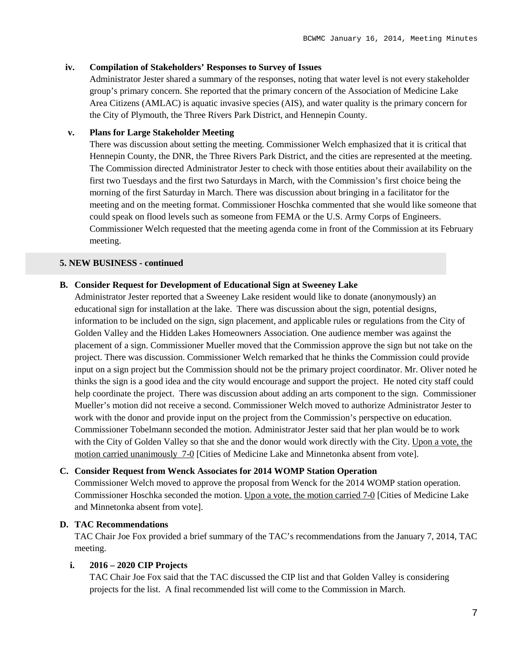#### **iv. Compilation of Stakeholders' Responses to Survey of Issues**

Administrator Jester shared a summary of the responses, noting that water level is not every stakeholder group's primary concern. She reported that the primary concern of the Association of Medicine Lake Area Citizens (AMLAC) is aquatic invasive species (AIS), and water quality is the primary concern for the City of Plymouth, the Three Rivers Park District, and Hennepin County.

## **v. Plans for Large Stakeholder Meeting**

There was discussion about setting the meeting. Commissioner Welch emphasized that it is critical that Hennepin County, the DNR, the Three Rivers Park District, and the cities are represented at the meeting. The Commission directed Administrator Jester to check with those entities about their availability on the first two Tuesdays and the first two Saturdays in March, with the Commission's first choice being the morning of the first Saturday in March. There was discussion about bringing in a facilitator for the meeting and on the meeting format. Commissioner Hoschka commented that she would like someone that could speak on flood levels such as someone from FEMA or the U.S. Army Corps of Engineers. Commissioner Welch requested that the meeting agenda come in front of the Commission at its February meeting.

### **5. NEW BUSINESS - continued**

#### **B. Consider Request for Development of Educational Sign at Sweeney Lake**

Administrator Jester reported that a Sweeney Lake resident would like to donate (anonymously) an educational sign for installation at the lake. There was discussion about the sign, potential designs, information to be included on the sign, sign placement, and applicable rules or regulations from the City of Golden Valley and the Hidden Lakes Homeowners Association. One audience member was against the placement of a sign. Commissioner Mueller moved that the Commission approve the sign but not take on the project. There was discussion. Commissioner Welch remarked that he thinks the Commission could provide input on a sign project but the Commission should not be the primary project coordinator. Mr. Oliver noted he thinks the sign is a good idea and the city would encourage and support the project. He noted city staff could help coordinate the project. There was discussion about adding an arts component to the sign. Commissioner Mueller's motion did not receive a second. Commissioner Welch moved to authorize Administrator Jester to work with the donor and provide input on the project from the Commission's perspective on education. Commissioner Tobelmann seconded the motion. Administrator Jester said that her plan would be to work with the City of Golden Valley so that she and the donor would work directly with the City. Upon a vote, the motion carried unanimously 7-0 [Cities of Medicine Lake and Minnetonka absent from vote].

#### **C. Consider Request from Wenck Associates for 2014 WOMP Station Operation**

Commissioner Welch moved to approve the proposal from Wenck for the 2014 WOMP station operation. Commissioner Hoschka seconded the motion. Upon a vote, the motion carried 7-0 [Cities of Medicine Lake and Minnetonka absent from vote].

## **D. TAC Recommendations**

TAC Chair Joe Fox provided a brief summary of the TAC's recommendations from the January 7, 2014, TAC meeting.

## **i. 2016 – 2020 CIP Projects**

TAC Chair Joe Fox said that the TAC discussed the CIP list and that Golden Valley is considering projects for the list. A final recommended list will come to the Commission in March.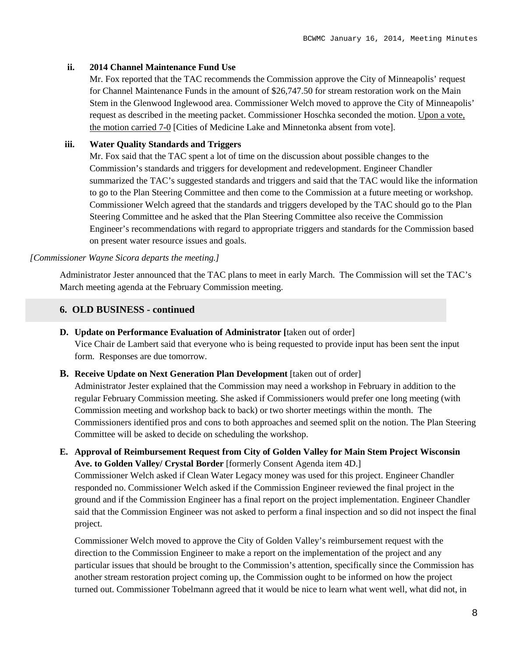#### **ii. 2014 Channel Maintenance Fund Use**

Mr. Fox reported that the TAC recommends the Commission approve the City of Minneapolis' request for Channel Maintenance Funds in the amount of \$26,747.50 for stream restoration work on the Main Stem in the Glenwood Inglewood area. Commissioner Welch moved to approve the City of Minneapolis' request as described in the meeting packet. Commissioner Hoschka seconded the motion. Upon a vote, the motion carried 7-0 [Cities of Medicine Lake and Minnetonka absent from vote].

#### **iii. Water Quality Standards and Triggers**

Mr. Fox said that the TAC spent a lot of time on the discussion about possible changes to the Commission's standards and triggers for development and redevelopment. Engineer Chandler summarized the TAC's suggested standards and triggers and said that the TAC would like the information to go to the Plan Steering Committee and then come to the Commission at a future meeting or workshop. Commissioner Welch agreed that the standards and triggers developed by the TAC should go to the Plan Steering Committee and he asked that the Plan Steering Committee also receive the Commission Engineer's recommendations with regard to appropriate triggers and standards for the Commission based on present water resource issues and goals.

#### *[Commissioner Wayne Sicora departs the meeting.]*

Administrator Jester announced that the TAC plans to meet in early March. The Commission will set the TAC's March meeting agenda at the February Commission meeting.

#### **6. OLD BUSINESS - continued**

- **D. Update on Performance Evaluation of Administrator [**taken out of order] Vice Chair de Lambert said that everyone who is being requested to provide input has been sent the input form. Responses are due tomorrow.
- **B. Receive Update on Next Generation Plan Development** [taken out of order]

Administrator Jester explained that the Commission may need a workshop in February in addition to the regular February Commission meeting. She asked if Commissioners would prefer one long meeting (with Commission meeting and workshop back to back) or two shorter meetings within the month. The Commissioners identified pros and cons to both approaches and seemed split on the notion. The Plan Steering Committee will be asked to decide on scheduling the workshop.

**E. Approval of Reimbursement Request from City of Golden Valley for Main Stem Project Wisconsin Ave. to Golden Valley/ Crystal Border** [formerly Consent Agenda item 4D.] Commissioner Welch asked if Clean Water Legacy money was used for this project. Engineer Chandler responded no. Commissioner Welch asked if the Commission Engineer reviewed the final project in the

ground and if the Commission Engineer has a final report on the project implementation. Engineer Chandler said that the Commission Engineer was not asked to perform a final inspection and so did not inspect the final project.

Commissioner Welch moved to approve the City of Golden Valley's reimbursement request with the direction to the Commission Engineer to make a report on the implementation of the project and any particular issues that should be brought to the Commission's attention, specifically since the Commission has another stream restoration project coming up, the Commission ought to be informed on how the project turned out. Commissioner Tobelmann agreed that it would be nice to learn what went well, what did not, in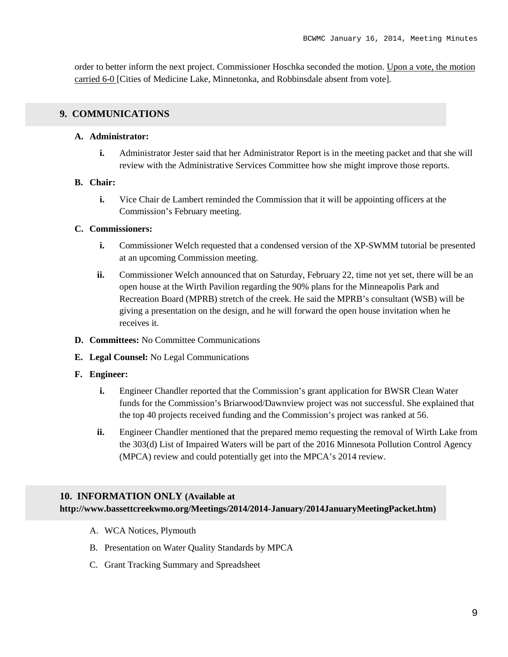order to better inform the next project. Commissioner Hoschka seconded the motion. Upon a vote, the motion carried 6-0 [Cities of Medicine Lake, Minnetonka, and Robbinsdale absent from vote].

## **9. COMMUNICATIONS**

#### **A. Administrator:**

**i.** Administrator Jester said that her Administrator Report is in the meeting packet and that she will review with the Administrative Services Committee how she might improve those reports.

#### **B. Chair:**

**i.** Vice Chair de Lambert reminded the Commission that it will be appointing officers at the Commission's February meeting.

#### **C. Commissioners:**

- **i.** Commissioner Welch requested that a condensed version of the XP-SWMM tutorial be presented at an upcoming Commission meeting.
- **ii.** Commissioner Welch announced that on Saturday, February 22, time not yet set, there will be an open house at the Wirth Pavilion regarding the 90% plans for the Minneapolis Park and Recreation Board (MPRB) stretch of the creek. He said the MPRB's consultant (WSB) will be giving a presentation on the design, and he will forward the open house invitation when he receives it.
- **D. Committees:** No Committee Communications
- **E. Legal Counsel:** No Legal Communications
- **F. Engineer:**
	- **i.** Engineer Chandler reported that the Commission's grant application for BWSR Clean Water funds for the Commission's Briarwood/Dawnview project was not successful. She explained that the top 40 projects received funding and the Commission's project was ranked at 56.
	- **ii.** Engineer Chandler mentioned that the prepared memo requesting the removal of Wirth Lake from the 303(d) List of Impaired Waters will be part of the 2016 Minnesota Pollution Control Agency (MPCA) review and could potentially get into the MPCA's 2014 review.

### **10. INFORMATION ONLY (Available at**

**http://www.bassettcreekwmo.org/Meetings/2014/2014-January/2014JanuaryMeetingPacket.htm)**

- A. WCA Notices, Plymouth
- B. Presentation on Water Quality Standards by MPCA
- C. Grant Tracking Summary and Spreadsheet